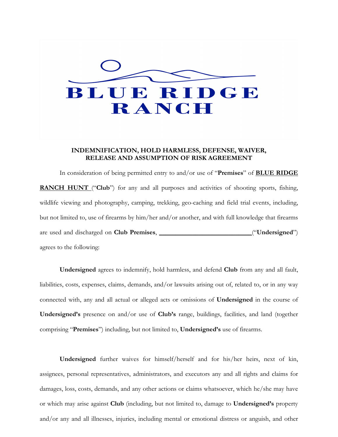

## **INDEMNIFICATION, HOLD HARMLESS, DEFENSE, WAIVER, RELEASE AND ASSUMPTION OF RISK AGREEMENT**

In consideration of being permitted entry to and/or use of "**Premises**" of **BLUE RIDGE RANCH HUNT** ("Club") for any and all purposes and activities of shooting sports, fishing, wildlife viewing and photography, camping, trekking, geo-caching and field trial events, including, but not limited to, use of firearms by him/her and/or another, and with full knowledge that firearms are used and discharged on **Club Premises**, \_\_\_\_\_\_\_\_\_\_\_\_\_\_\_\_\_\_\_\_\_\_\_\_\_\_\_\_("**Undersigned**") agrees to the following:

**Undersigned** agrees to indemnify, hold harmless, and defend **Club** from any and all fault, liabilities, costs, expenses, claims, demands, and/or lawsuits arising out of, related to, or in any way connected with, any and all actual or alleged acts or omissions of **Undersigned** in the course of **Undersigned's** presence on and/or use of **Club's** range, buildings, facilities, and land (together comprising "**Premises**") including, but not limited to, **Undersigned's** use of firearms.

**Undersigned** further waives for himself/herself and for his/her heirs, next of kin, assignees, personal representatives, administrators, and executors any and all rights and claims for damages, loss, costs, demands, and any other actions or claims whatsoever, which he/she may have or which may arise against **Club** (including, but not limited to, damage to **Undersigned's** property and/or any and all illnesses, injuries, including mental or emotional distress or anguish, and other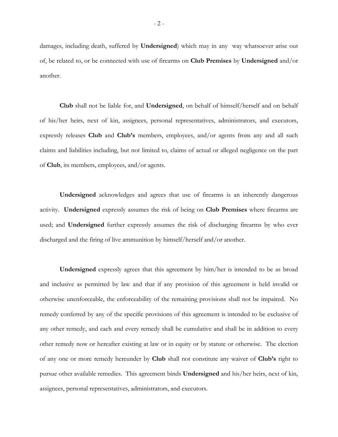damages, including death, suffered by **Undersigned**) which may in any way whatsoever arise out of, be related to, or be connected with use of firearms on **Club Premises** by **Undersigned** and/or another.

**Club** shall not be liable for, and **Undersigned**, on behalf of himself/herself and on behalf of his/her heirs, next of kin, assignees, personal representatives, administrators, and executors, expressly releases **Club** and **Club's** members, employees, and/or agents from any and all such claims and liabilities including, but not limited to, claims of actual or alleged negligence on the part of **Club**, its members, employees, and/or agents.

**Undersigned** acknowledges and agrees that use of firearms is an inherently dangerous activity. **Undersigned** expressly assumes the risk of being on **Club Premises** where firearms are used; and **Undersigned** further expressly assumes the risk of discharging firearms by who ever discharged and the firing of live ammunition by himself/herself and/or another.

**Undersigned** expressly agrees that this agreement by him/her is intended to be as broad and inclusive as permitted by law and that if any provision of this agreement is held invalid or otherwise unenforceable, the enforceability of the remaining provisions shall not be impaired. No remedy conferred by any of the specific provisions of this agreement is intended to be exclusive of any other remedy, and each and every remedy shall be cumulative and shall be in addition to every other remedy now or hereafter existing at law or in equity or by statute or otherwise. The election of any one or more remedy hereunder by **Club** shall not constitute any waiver of **Club's** right to pursue other available remedies. This agreement binds **Undersigned** and his/her heirs, next of kin, assignees, personal representatives, administrators, and executors.